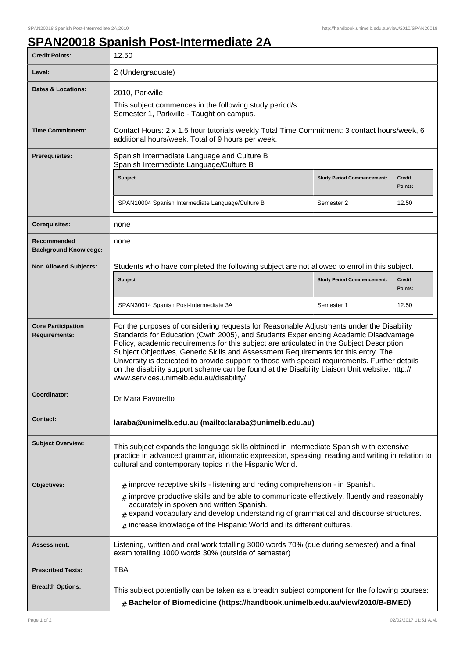## **SPAN20018 Spanish Post-Intermediate 2A**

| <b>Credit Points:</b>                             | 12.50                                                                                                                                                                                                                                                                                                                                                                                                                                                                                                                                                                                                              |                                   |                          |  |
|---------------------------------------------------|--------------------------------------------------------------------------------------------------------------------------------------------------------------------------------------------------------------------------------------------------------------------------------------------------------------------------------------------------------------------------------------------------------------------------------------------------------------------------------------------------------------------------------------------------------------------------------------------------------------------|-----------------------------------|--------------------------|--|
| Level:                                            | 2 (Undergraduate)                                                                                                                                                                                                                                                                                                                                                                                                                                                                                                                                                                                                  |                                   |                          |  |
| <b>Dates &amp; Locations:</b>                     | 2010, Parkville<br>This subject commences in the following study period/s:<br>Semester 1, Parkville - Taught on campus.                                                                                                                                                                                                                                                                                                                                                                                                                                                                                            |                                   |                          |  |
| <b>Time Commitment:</b>                           | Contact Hours: 2 x 1.5 hour tutorials weekly Total Time Commitment: 3 contact hours/week, 6<br>additional hours/week. Total of 9 hours per week.                                                                                                                                                                                                                                                                                                                                                                                                                                                                   |                                   |                          |  |
| <b>Prerequisites:</b>                             | Spanish Intermediate Language and Culture B<br>Spanish Intermediate Language/Culture B                                                                                                                                                                                                                                                                                                                                                                                                                                                                                                                             |                                   |                          |  |
|                                                   | <b>Subject</b>                                                                                                                                                                                                                                                                                                                                                                                                                                                                                                                                                                                                     | <b>Study Period Commencement:</b> | <b>Credit</b><br>Points: |  |
|                                                   | SPAN10004 Spanish Intermediate Language/Culture B                                                                                                                                                                                                                                                                                                                                                                                                                                                                                                                                                                  | Semester 2                        | 12.50                    |  |
| <b>Corequisites:</b>                              | none                                                                                                                                                                                                                                                                                                                                                                                                                                                                                                                                                                                                               |                                   |                          |  |
| Recommended<br><b>Background Knowledge:</b>       | none                                                                                                                                                                                                                                                                                                                                                                                                                                                                                                                                                                                                               |                                   |                          |  |
| <b>Non Allowed Subjects:</b>                      | Students who have completed the following subject are not allowed to enrol in this subject.                                                                                                                                                                                                                                                                                                                                                                                                                                                                                                                        |                                   |                          |  |
|                                                   | <b>Subject</b>                                                                                                                                                                                                                                                                                                                                                                                                                                                                                                                                                                                                     | <b>Study Period Commencement:</b> | <b>Credit</b><br>Points: |  |
|                                                   | SPAN30014 Spanish Post-Intermediate 3A                                                                                                                                                                                                                                                                                                                                                                                                                                                                                                                                                                             | Semester 1                        | 12.50                    |  |
| <b>Core Participation</b><br><b>Requirements:</b> | For the purposes of considering requests for Reasonable Adjustments under the Disability<br>Standards for Education (Cwth 2005), and Students Experiencing Academic Disadvantage<br>Policy, academic requirements for this subject are articulated in the Subject Description,<br>Subject Objectives, Generic Skills and Assessment Requirements for this entry. The<br>University is dedicated to provide support to those with special requirements. Further details<br>on the disability support scheme can be found at the Disability Liaison Unit website: http://<br>www.services.unimelb.edu.au/disability/ |                                   |                          |  |
| Coordinator:                                      | Dr Mara Favoretto                                                                                                                                                                                                                                                                                                                                                                                                                                                                                                                                                                                                  |                                   |                          |  |
| <b>Contact:</b>                                   | laraba@unimelb.edu.au (mailto:laraba@unimelb.edu.au)                                                                                                                                                                                                                                                                                                                                                                                                                                                                                                                                                               |                                   |                          |  |
| <b>Subject Overview:</b>                          | This subject expands the language skills obtained in Intermediate Spanish with extensive<br>practice in advanced grammar, idiomatic expression, speaking, reading and writing in relation to<br>cultural and contemporary topics in the Hispanic World.                                                                                                                                                                                                                                                                                                                                                            |                                   |                          |  |
| Objectives:                                       | $*$ improve receptive skills - listening and reding comprehension - in Spanish.<br>improve productive skills and be able to communicate effectively, fluently and reasonably<br>#<br>accurately in spoken and written Spanish.<br>expand vocabulary and develop understanding of grammatical and discourse structures.<br>#<br>increase knowledge of the Hispanic World and its different cultures.<br>#                                                                                                                                                                                                           |                                   |                          |  |
| Assessment:                                       | Listening, written and oral work totalling 3000 words 70% (due during semester) and a final<br>exam totalling 1000 words 30% (outside of semester)                                                                                                                                                                                                                                                                                                                                                                                                                                                                 |                                   |                          |  |
| <b>Prescribed Texts:</b>                          | <b>TBA</b>                                                                                                                                                                                                                                                                                                                                                                                                                                                                                                                                                                                                         |                                   |                          |  |
| <b>Breadth Options:</b>                           | This subject potentially can be taken as a breadth subject component for the following courses:<br>$#$ Bachelor of Biomedicine (https://handbook.unimelb.edu.au/view/2010/B-BMED)                                                                                                                                                                                                                                                                                                                                                                                                                                  |                                   |                          |  |